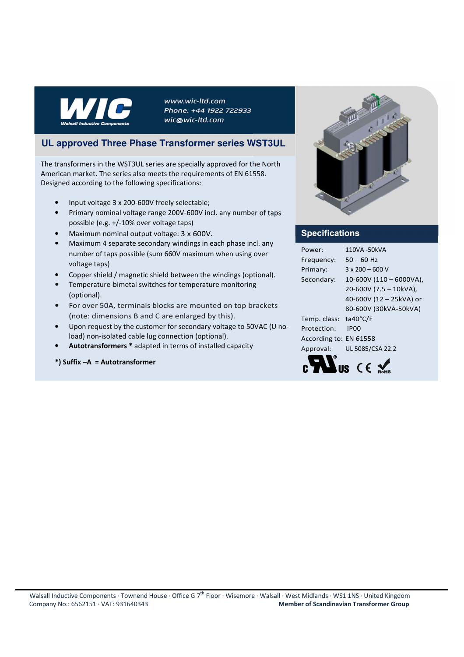

www.wic-ltd.com Phone: +44 1922 722933 wic@wic-ltd.com

## **UL approved Three Phase Transformer series WST3UL**

The transformers in the WST3UL series are specially approved for the North American market. The series also meets the requirements of EN 61558. Designed according to the following specifications:

- Input voltage 3 x 200-600V freely selectable;
- Primary nominal voltage range 200V-600V incl. any number of taps possible (e.g. +/-10% over voltage taps)
- Maximum nominal output voltage: 3 x 600V.
- Maximum 4 separate secondary windings in each phase incl. any number of taps possible (sum 660V maximum when using over voltage taps)
- Copper shield / magnetic shield between the windings (optional).
- Temperature-bimetal switches for temperature monitoring (optional).
- For over 50A, terminals blocks are mounted on top brackets (note: dimensions B and C are enlarged by this).
- Upon request by the customer for secondary voltage to 50VAC (U noload) non-isolated cable lug connection (optional).
- **Autotransformers \*** adapted in terms of installed capacity
- **\*) Suffix –A = Autotransformer**



## **Specifications**

| Power:                 | 110VA-50kVA               |
|------------------------|---------------------------|
| Frequency:             | $50 - 60$ Hz              |
| Primary:               | $3 \times 200 - 600$ V    |
| Secondary:             | $10-600V$ (110 - 6000VA), |
|                        | 20-600V (7.5 - 10kVA),    |
|                        | 40-600V (12 - 25kVA) or   |
|                        | 80-600V (30kVA-50kVA)     |
| Temp. class: ta40°C/F  |                           |
| Protection:            | IP <sub>00</sub>          |
| According to: EN 61558 |                           |
| Approval:              | UL 5085/CSA 22.2          |
|                        |                           |
|                        |                           |